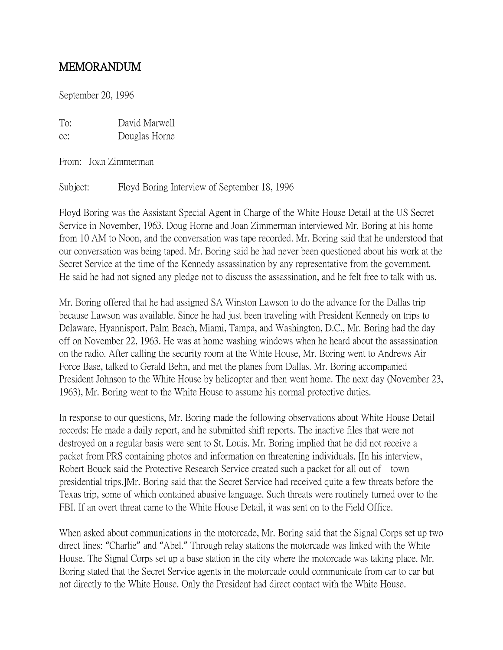## MEMORANDUM

September 20, 1996

To: David Marwell cc: Douglas Horne

From: Joan Zimmerman

Subject: Floyd Boring Interview of September 18, 1996

Floyd Boring was the Assistant Special Agent in Charge of the White House Detail at the US Secret Service in November, 1963. Doug Horne and Joan Zimmerman interviewed Mr. Boring at his home from 10 AM to Noon, and the conversation was tape recorded. Mr. Boring said that he understood that our conversation was being taped. Mr. Boring said he had never been questioned about his work at the Secret Service at the time of the Kennedy assassination by any representative from the government. He said he had not signed any pledge not to discuss the assassination, and he felt free to talk with us.

Mr. Boring offered that he had assigned SA Winston Lawson to do the advance for the Dallas trip because Lawson was available. Since he had just been traveling with President Kennedy on trips to Delaware, Hyannisport, Palm Beach, Miami, Tampa, and Washington, D.C., Mr. Boring had the day off on November 22, 1963. He was at home washing windows when he heard about the assassination on the radio. After calling the security room at the White House, Mr. Boring went to Andrews Air Force Base, talked to Gerald Behn, and met the planes from Dallas. Mr. Boring accompanied President Johnson to the White House by helicopter and then went home. The next day (November 23, 1963), Mr. Boring went to the White House to assume his normal protective duties.

In response to our questions, Mr. Boring made the following observations about White House Detail records: He made a daily report, and he submitted shift reports. The inactive files that were not destroyed on a regular basis were sent to St. Louis. Mr. Boring implied that he did not receive a packet from PRS containing photos and information on threatening individuals. [In his interview, Robert Bouck said the Protective Research Service created such a packet for all out of town presidential trips.]Mr. Boring said that the Secret Service had received quite a few threats before the Texas trip, some of which contained abusive language. Such threats were routinely turned over to the FBI. If an overt threat came to the White House Detail, it was sent on to the Field Office.

When asked about communications in the motorcade, Mr. Boring said that the Signal Corps set up two direct lines: "Charlie" and "Abel." Through relay stations the motorcade was linked with the White House. The Signal Corps set up a base station in the city where the motorcade was taking place. Mr. Boring stated that the Secret Service agents in the motorcade could communicate from car to car but not directly to the White House. Only the President had direct contact with the White House.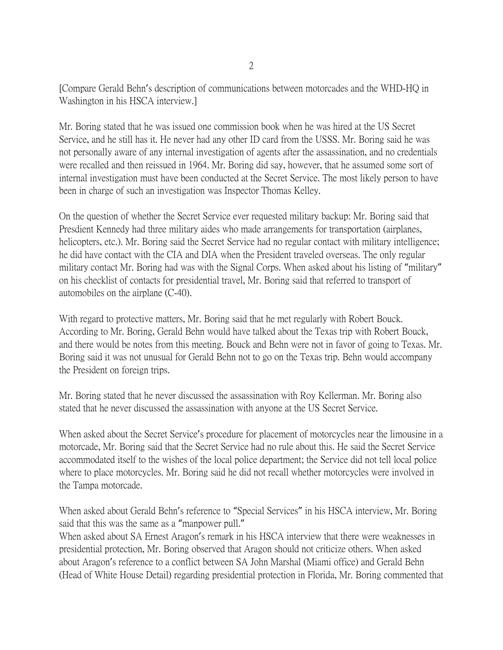[Compare Gerald Behn's description of communications between motorcades and the WHD-HQ in Washington in his HSCA interview.]

Mr. Boring stated that he was issued one commission book when he was hired at the US Secret Service, and he still has it. He never had any other ID card from the USSS. Mr. Boring said he was not personally aware of any internal investigation of agents after the assassination, and no credentials were recalled and then reissued in 1964. Mr. Boring did say, however, that he assumed some sort of internal investigation must have been conducted at the Secret Service. The most likely person to have been in charge of such an investigation was Inspector Thomas Kelley.

On the question of whether the Secret Service ever requested military backup: Mr. Boring said that Presdient Kennedy had three military aides who made arrangements for transportation (airplanes, helicopters, etc.). Mr. Boring said the Secret Service had no regular contact with military intelligence; he did have contact with the CIA and DIA when the President traveled overseas. The only regular military contact Mr. Boring had was with the Signal Corps. When asked about his listing of "military" on his checklist of contacts for presidential travel, Mr. Boring said that referred to transport of automobiles on the airplane (C-40).

With regard to protective matters, Mr. Boring said that he met regularly with Robert Bouck. According to Mr. Boring, Gerald Behn would have talked about the Texas trip with Robert Bouck, and there would be notes from this meeting. Bouck and Behn were not in favor of going to Texas. Mr. Boring said it was not unusual for Gerald Behn not to go on the Texas trip. Behn would accompany the President on foreign trips.

Mr. Boring stated that he never discussed the assassination with Roy Kellerman. Mr. Boring also stated that he never discussed the assassination with anyone at the US Secret Service.

When asked about the Secret Service's procedure for placement of motorcycles near the limousine in a motorcade, Mr. Boring said that the Secret Service had no rule about this. He said the Secret Service accommodated itself to the wishes of the local police department; the Service did not tell local police where to place motorcycles. Mr. Boring said he did not recall whether motorcycles were involved in the Tampa motorcade.

When asked about Gerald Behn's reference to "Special Services" in his HSCA interview, Mr. Boring said that this was the same as a "manpower pull."

When asked about SA Ernest Aragon's remark in his HSCA interview that there were weaknesses in presidential protection, Mr. Boring observed that Aragon should not criticize others. When asked about Aragon's reference to a conflict between SA John Marshal (Miami office) and Gerald Behn (Head of White House Detail) regarding presidential protection in Florida, Mr. Boring commented that